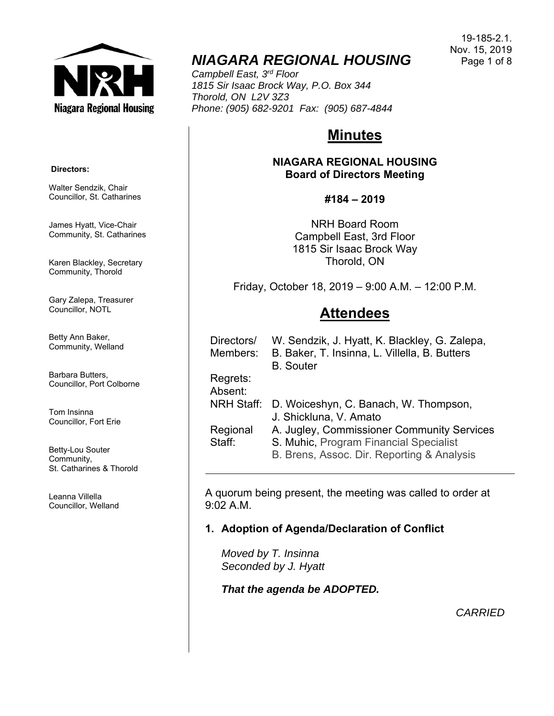

# *NIAGARA REGIONAL HOUSING*

*Campbell East, 3rd Floor 1815 Sir Isaac Brock Way, P.O. Box 344 Thorold, ON L2V 3Z3 Phone: (905) 682-9201 Fax: (905) 687-4844* 

# **Minutes**

## **NIAGARA REGIONAL HOUSING Board of Directors Meeting**

## **#184 – 2019**

NRH Board Room Campbell East, 3rd Floor 1815 Sir Isaac Brock Way Thorold, ON

Friday, October 18, 2019 – 9:00 A.M. – 12:00 P.M.

# **Attendees**

| W. Sendzik, J. Hyatt, K. Blackley, G. Zalepa,<br>B. Baker, T. Insinna, L. Villella, B. Butters<br><b>B.</b> Souter                 |
|------------------------------------------------------------------------------------------------------------------------------------|
|                                                                                                                                    |
|                                                                                                                                    |
| D. Woiceshyn, C. Banach, W. Thompson,<br>J. Shickluna, V. Amato                                                                    |
| A. Jugley, Commissioner Community Services<br>S. Muhic, Program Financial Specialist<br>B. Brens, Assoc. Dir. Reporting & Analysis |
|                                                                                                                                    |

A quorum being present, the meeting was called to order at 9:02 A.M.

# **1. Adoption of Agenda/Declaration of Conflict**

*Moved by T. Insinna Seconded by J. Hyatt* 

*That the agenda be ADOPTED.*

*CARRIED*

#### **Directors:**

Walter Sendzik, Chair Councillor, St. Catharines

James Hyatt, Vice-Chair Community, St. Catharines

Karen Blackley, Secretary Community, Thorold

Gary Zalepa, Treasurer Councillor, NOTL

Betty Ann Baker, Community, Welland

Barbara Butters, Councillor, Port Colborne

Tom Insinna Councillor, Fort Erie

Betty-Lou Souter Community, St. Catharines & Thorold

Leanna Villella Councillor, Welland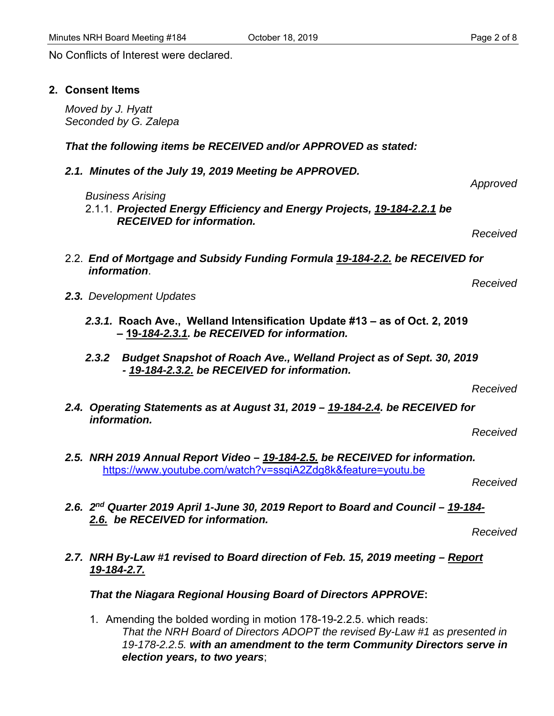No Conflicts of Interest were declared.

#### **2. Consent Items**

*Moved by J. Hyatt Seconded by G. Zalepa* 

#### *That the following items be RECEIVED and/or APPROVED as stated:*

*2.1. Minutes of the July 19, 2019 Meeting be APPROVED.* 

*Business Arising* 

2.1.1. *Projected Energy Efficiency and Energy Projects, 19-184-2.2.1 be RECEIVED for information.*

*Received* 

*Received* 

- 2.2. *End of Mortgage and Subsidy Funding Formula 19-184-2.2. be RECEIVED for information*.
- *2.3. Development Updates* 
	- *2.3.1.* **Roach Ave., Welland Intensification Update #13 as of Oct. 2, 2019 – 19***-184-2.3.1. be RECEIVED for information.*
	- *2.3.2 Budget Snapshot of Roach Ave., Welland Project as of Sept. 30, 2019 - 19-184-2.3.2. be RECEIVED for information.*

*Received* 

*2.4. Operating Statements as at August 31, 2019 – 19-184-2.4. be RECEIVED for information.* 

*Received* 

*2.5. NRH 2019 Annual Report Video – 19-184-2.5. be RECEIVED for information.*  https://www.youtube.com/watch?v=ssqiA2Zdg8k&feature=youtu.be

*Received* 

*2.6. 2nd Quarter 2019 April 1-June 30, 2019 Report to Board and Council – 19-184- 2.6. be RECEIVED for information.* 

*Received* 

*2.7. NRH By-Law #1 revised to Board direction of Feb. 15, 2019 meeting – Report 19-184-2.7.* 

*That the Niagara Regional Housing Board of Directors APPROVE***:**

1. Amending the bolded wording in motion 178-19-2.2.5. which reads: *That the NRH Board of Directors ADOPT the revised By-Law #1 as presented in 19-178-2.2.5. with an amendment to the term Community Directors serve in election years, to two years*;

*Approved*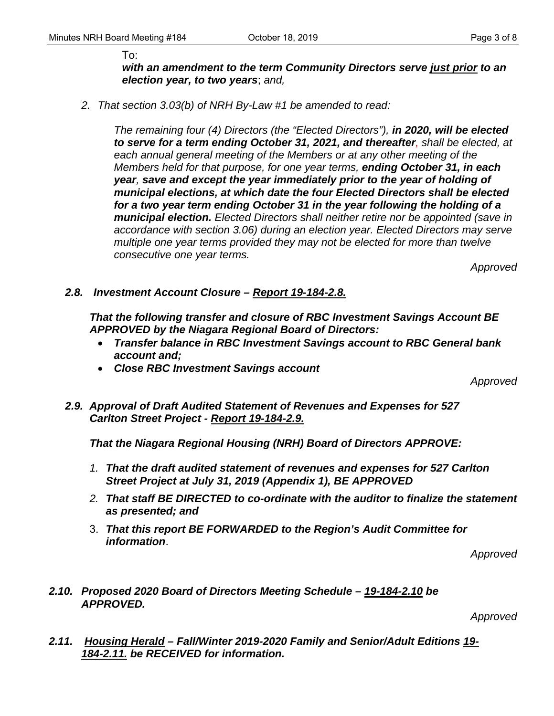To:

*with an amendment to the term Community Directors serve just prior to an election year, to two years*; *and,* 

*2. That section 3.03(b) of NRH By-Law #1 be amended to read:* 

*The remaining four (4) Directors (the "Elected Directors"), in 2020, will be elected to serve for a term ending October 31, 2021, and thereafter, shall be elected, at each annual general meeting of the Members or at any other meeting of the Members held for that purpose, for one year terms, ending October 31, in each year, save and except the year immediately prior to the year of holding of municipal elections, at which date the four Elected Directors shall be elected for a two year term ending October 31 in the year following the holding of a municipal election. Elected Directors shall neither retire nor be appointed (save in accordance with section 3.06) during an election year. Elected Directors may serve multiple one year terms provided they may not be elected for more than twelve consecutive one year terms.* 

*Approved* 

*2.8. Investment Account Closure – Report 19-184-2.8.* 

*That the following transfer and closure of RBC Investment Savings Account BE APPROVED by the Niagara Regional Board of Directors:* 

- *Transfer balance in RBC Investment Savings account to RBC General bank account and;*
- *Close RBC Investment Savings account*

*Approved* 

*2.9. Approval of Draft Audited Statement of Revenues and Expenses for 527 Carlton Street Project - Report 19-184-2.9.* 

*That the Niagara Regional Housing (NRH) Board of Directors APPROVE:* 

- *1. That the draft audited statement of revenues and expenses for 527 Carlton Street Project at July 31, 2019 (Appendix 1), BE APPROVED*
- *2. That staff BE DIRECTED to co-ordinate with the auditor to finalize the statement as presented; and*
- 3. *That this report BE FORWARDED to the Region's Audit Committee for information*.

*Approved* 

*2.10. Proposed 2020 Board of Directors Meeting Schedule – 19-184-2.10 be APPROVED.* 

*Approved* 

*2.11. Housing Herald – Fall/Winter 2019-2020 Family and Senior/Adult Editions 19- 184-2.11. be RECEIVED for information.*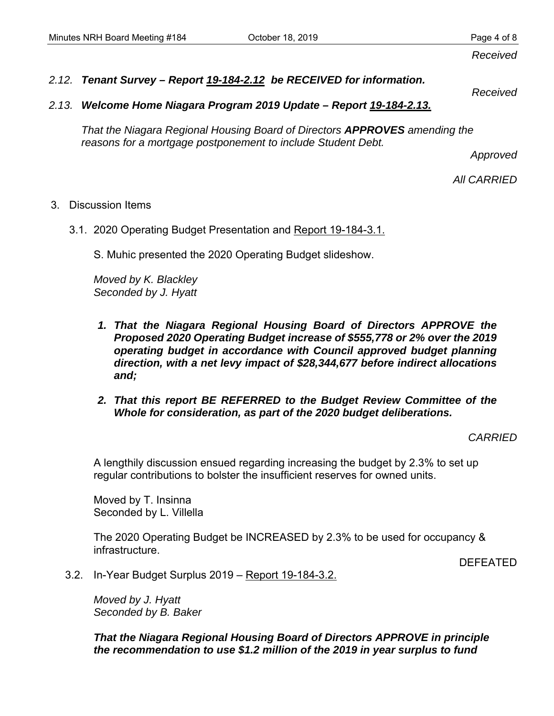*Received* 

*Received* 

# *2.12. Tenant Survey – Report 19-184-2.12 be RECEIVED for information.*

*2.13. Welcome Home Niagara Program 2019 Update – Report 19-184-2.13.*

*That the Niagara Regional Housing Board of Directors APPROVES amending the reasons for a mortgage postponement to include Student Debt.* 

*Approved* 

*All CARRIED* 

## 3. Discussion Items

3.1. 2020 Operating Budget Presentation and Report 19-184-3.1.

S. Muhic presented the 2020 Operating Budget slideshow.

*Moved by K. Blackley Seconded by J. Hyatt* 

- *1. That the Niagara Regional Housing Board of Directors APPROVE the Proposed 2020 Operating Budget increase of \$555,778 or 2% over the 2019 operating budget in accordance with Council approved budget planning direction, with a net levy impact of \$28,344,677 before indirect allocations and;*
- *2. That this report BE REFERRED to the Budget Review Committee of the Whole for consideration, as part of the 2020 budget deliberations.*

*CARRIED* 

A lengthily discussion ensued regarding increasing the budget by 2.3% to set up regular contributions to bolster the insufficient reserves for owned units.

Moved by T. Insinna Seconded by L. Villella

The 2020 Operating Budget be INCREASED by 2.3% to be used for occupancy & infrastructure.

DEFEATED

3.2. In-Year Budget Surplus 2019 – Report 19-184-3.2.

*Moved by J. Hyatt Seconded by B. Baker* 

*That the Niagara Regional Housing Board of Directors APPROVE in principle the recommendation to use \$1.2 million of the 2019 in year surplus to fund*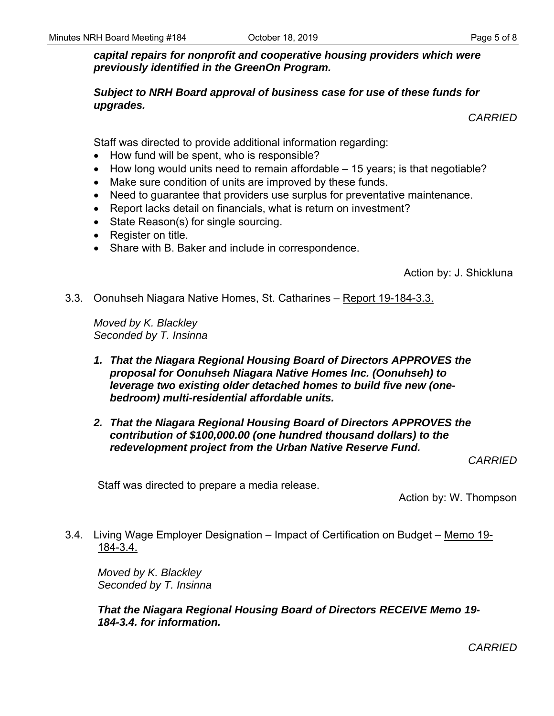## *capital repairs for nonprofit and cooperative housing providers which were previously identified in the GreenOn Program.*

*Subject to NRH Board approval of business case for use of these funds for upgrades.* 

*CARRIED* 

Staff was directed to provide additional information regarding:

- How fund will be spent, who is responsible?
- $\bullet$  How long would units need to remain affordable  $-$  15 years; is that negotiable?
- Make sure condition of units are improved by these funds.
- Need to guarantee that providers use surplus for preventative maintenance.
- Report lacks detail on financials, what is return on investment?
- State Reason(s) for single sourcing.
- Register on title.
- Share with B. Baker and include in correspondence.

Action by: J. Shickluna

3.3. Oonuhseh Niagara Native Homes, St. Catharines – Report 19-184-3.3.

*Moved by K. Blackley Seconded by T. Insinna* 

- *1. That the Niagara Regional Housing Board of Directors APPROVES the proposal for Oonuhseh Niagara Native Homes Inc. (Oonuhseh) to leverage two existing older detached homes to build five new (onebedroom) multi-residential affordable units.*
- *2. That the Niagara Regional Housing Board of Directors APPROVES the contribution of \$100,000.00 (one hundred thousand dollars) to the redevelopment project from the Urban Native Reserve Fund.*

*CARRIED* 

Staff was directed to prepare a media release.

Action by: W. Thompson

3.4. Living Wage Employer Designation – Impact of Certification on Budget – Memo 19- 184-3.4.

*Moved by K. Blackley Seconded by T. Insinna* 

*That the Niagara Regional Housing Board of Directors RECEIVE Memo 19- 184-3.4. for information.* 

*CARRIED*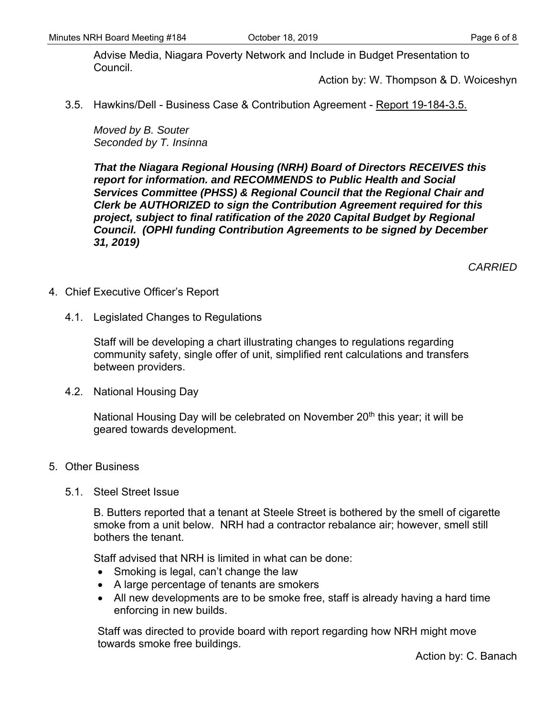Advise Media, Niagara Poverty Network and Include in Budget Presentation to Council.

Action by: W. Thompson & D. Woiceshyn

3.5. Hawkins/Dell - Business Case & Contribution Agreement - Report 19-184-3.5.

*Moved by B. Souter Seconded by T. Insinna* 

*That the Niagara Regional Housing (NRH) Board of Directors RECEIVES this report for information. and RECOMMENDS to Public Health and Social Services Committee (PHSS) & Regional Council that the Regional Chair and Clerk be AUTHORIZED to sign the Contribution Agreement required for this project, subject to final ratification of the 2020 Capital Budget by Regional Council. (OPHI funding Contribution Agreements to be signed by December 31, 2019)* 

*CARRIED* 

- 4. Chief Executive Officer's Report
	- 4.1. Legislated Changes to Regulations

Staff will be developing a chart illustrating changes to regulations regarding community safety, single offer of unit, simplified rent calculations and transfers between providers.

4.2. National Housing Day

National Housing Day will be celebrated on November  $20<sup>th</sup>$  this year; it will be geared towards development.

- 5. Other Business
	- 5.1. Steel Street Issue

B. Butters reported that a tenant at Steele Street is bothered by the smell of cigarette smoke from a unit below. NRH had a contractor rebalance air; however, smell still bothers the tenant.

Staff advised that NRH is limited in what can be done:

- Smoking is legal, can't change the law
- A large percentage of tenants are smokers
- All new developments are to be smoke free, staff is already having a hard time enforcing in new builds.

Staff was directed to provide board with report regarding how NRH might move towards smoke free buildings.

Action by: C. Banach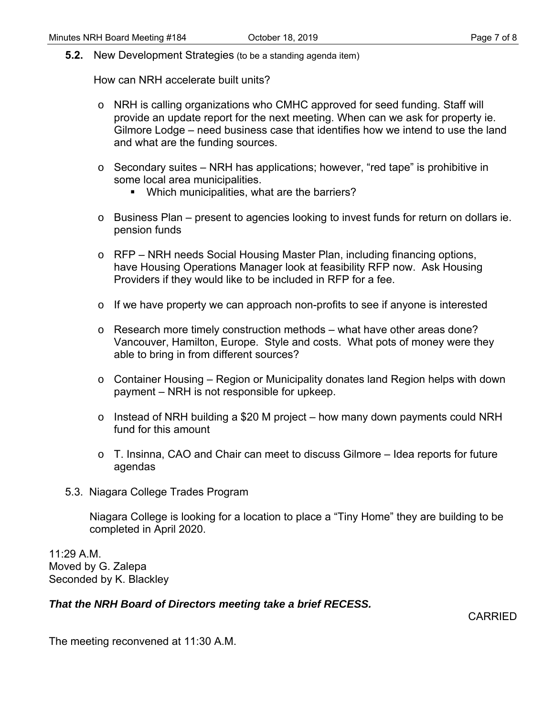**5.2.** New Development Strategies (to be a standing agenda item)

How can NRH accelerate built units?

- o NRH is calling organizations who CMHC approved for seed funding. Staff will provide an update report for the next meeting. When can we ask for property ie. Gilmore Lodge – need business case that identifies how we intend to use the land and what are the funding sources.
- o Secondary suites NRH has applications; however, "red tape" is prohibitive in some local area municipalities.
	- **Which municipalities, what are the barriers?**
- o Business Plan present to agencies looking to invest funds for return on dollars ie. pension funds
- o RFP NRH needs Social Housing Master Plan, including financing options, have Housing Operations Manager look at feasibility RFP now. Ask Housing Providers if they would like to be included in RFP for a fee.
- o If we have property we can approach non-profits to see if anyone is interested
- o Research more timely construction methods what have other areas done? Vancouver, Hamilton, Europe. Style and costs. What pots of money were they able to bring in from different sources?
- o Container Housing Region or Municipality donates land Region helps with down payment – NRH is not responsible for upkeep.
- o Instead of NRH building a \$20 M project how many down payments could NRH fund for this amount
- o T. Insinna, CAO and Chair can meet to discuss Gilmore Idea reports for future agendas
- 5.3. Niagara College Trades Program

Niagara College is looking for a location to place a "Tiny Home" they are building to be completed in April 2020.

11:29 A.M. Moved by G. Zalepa Seconded by K. Blackley

## *That the NRH Board of Directors meeting take a brief RECESS.*

CARRIED

The meeting reconvened at 11:30 A.M.